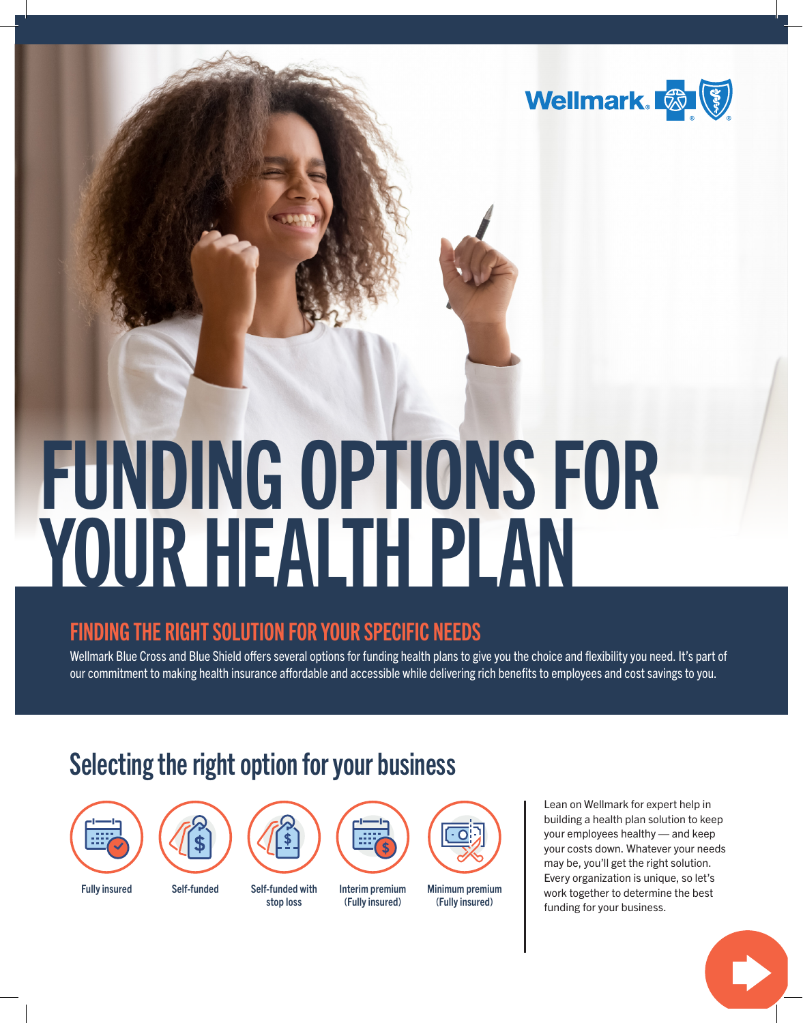

# FUNDING OPTIONS FOR YOUR HEALTH PLAN

## FINDING THE RIGHT SOLUTION FOR YOUR SPECIFIC NEEDS

Wellmark Blue Cross and Blue Shield offers several options for funding health plans to give you the choice and flexibility you need. It's part of our commitment to making health insurance affordable and accessible while delivering rich benefits to employees and cost savings to you.

# Selecting the right option for your business

stop loss





Fully insured Self-funded Self-funded with



Interim premium (Fully insured)



**Minimum premium** (Fully insured)

Lean on Wellmark for expert help in building a health plan solution to keep your employees healthy — and keep your costs down. Whatever your needs may be, you'll get the right solution. Every organization is unique, so let's work together to determine the best funding for your business.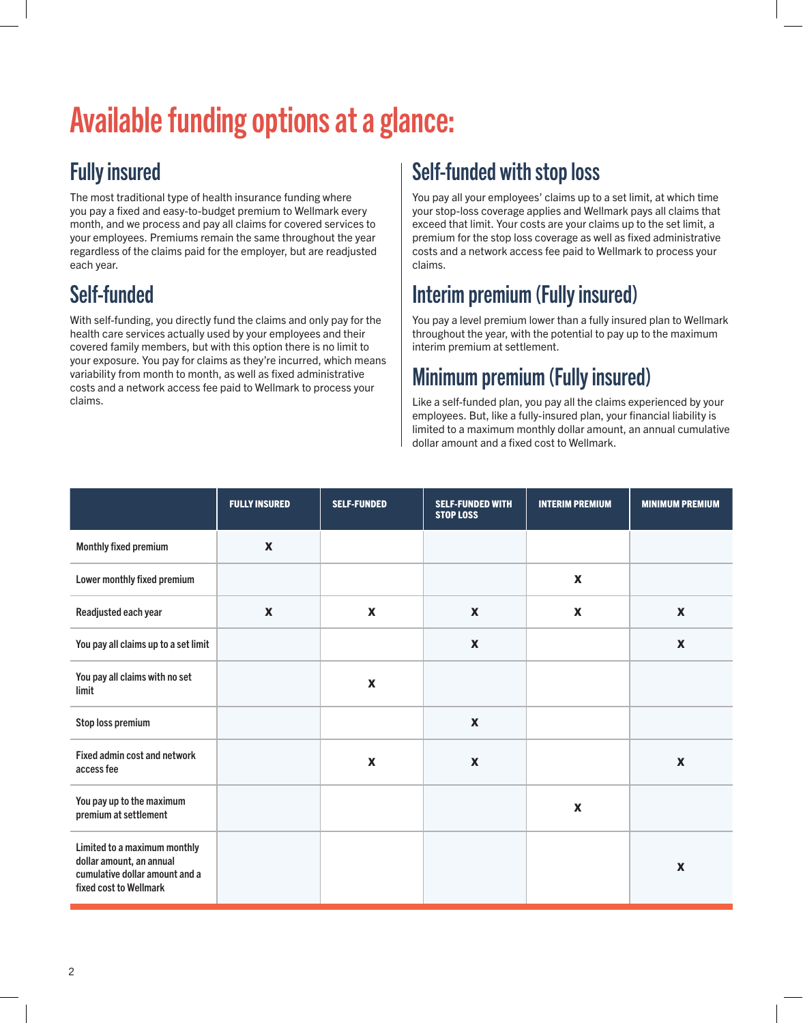# Available funding options at a glance:

## Fully insured

The most traditional type of health insurance funding where you pay a fixed and easy-to-budget premium to Wellmark every month, and we process and pay all claims for covered services to your employees. Premiums remain the same throughout the year regardless of the claims paid for the employer, but are readjusted each year.

# Self-funded

With self-funding, you directly fund the claims and only pay for the health care services actually used by your employees and their covered family members, but with this option there is no limit to your exposure. You pay for claims as they're incurred, which means variability from month to month, as well as fixed administrative costs and a network access fee paid to Wellmark to process your claims.

## Self-funded with stop loss

You pay all your employees' claims up to a set limit, at which time your stop-loss coverage applies and Wellmark pays all claims that exceed that limit. Your costs are your claims up to the set limit, a premium for the stop loss coverage as well as fixed administrative costs and a network access fee paid to Wellmark to process your claims.

## Interim premium (Fully insured)

You pay a level premium lower than a fully insured plan to Wellmark throughout the year, with the potential to pay up to the maximum interim premium at settlement.

## Minimum premium (Fully insured)

Like a self-funded plan, you pay all the claims experienced by your employees. But, like a fully-insured plan, your financial liability is limited to a maximum monthly dollar amount, an annual cumulative dollar amount and a fixed cost to Wellmark.

|                                                                                                                      | <b>FULLY INSURED</b>      | <b>SELF-FUNDED</b>        | <b>SELF-FUNDED WITH</b><br><b>STOP LOSS</b> | <b>INTERIM PREMIUM</b>    | <b>MINIMUM PREMIUM</b>    |
|----------------------------------------------------------------------------------------------------------------------|---------------------------|---------------------------|---------------------------------------------|---------------------------|---------------------------|
| <b>Monthly fixed premium</b>                                                                                         | $\boldsymbol{\mathsf{X}}$ |                           |                                             |                           |                           |
| Lower monthly fixed premium                                                                                          |                           |                           |                                             | $\boldsymbol{\mathsf{X}}$ |                           |
| Readjusted each year                                                                                                 | $\boldsymbol{\mathsf{X}}$ | $\boldsymbol{\mathsf{X}}$ | $\boldsymbol{\mathsf{X}}$                   | $\boldsymbol{\mathsf{X}}$ | $\boldsymbol{\mathsf{X}}$ |
| You pay all claims up to a set limit                                                                                 |                           |                           | $\boldsymbol{x}$                            |                           | $\boldsymbol{\mathsf{X}}$ |
| You pay all claims with no set<br>limit                                                                              |                           | $\boldsymbol{\mathsf{X}}$ |                                             |                           |                           |
| Stop loss premium                                                                                                    |                           |                           | $\boldsymbol{\mathsf{X}}$                   |                           |                           |
| Fixed admin cost and network<br>access fee                                                                           |                           | $\pmb{\mathsf{X}}$        | $\boldsymbol{\mathsf{X}}$                   |                           | $\boldsymbol{\mathsf{X}}$ |
| You pay up to the maximum<br>premium at settlement                                                                   |                           |                           |                                             | $\boldsymbol{\mathsf{X}}$ |                           |
| Limited to a maximum monthly<br>dollar amount, an annual<br>cumulative dollar amount and a<br>fixed cost to Wellmark |                           |                           |                                             |                           | $\boldsymbol{\mathsf{X}}$ |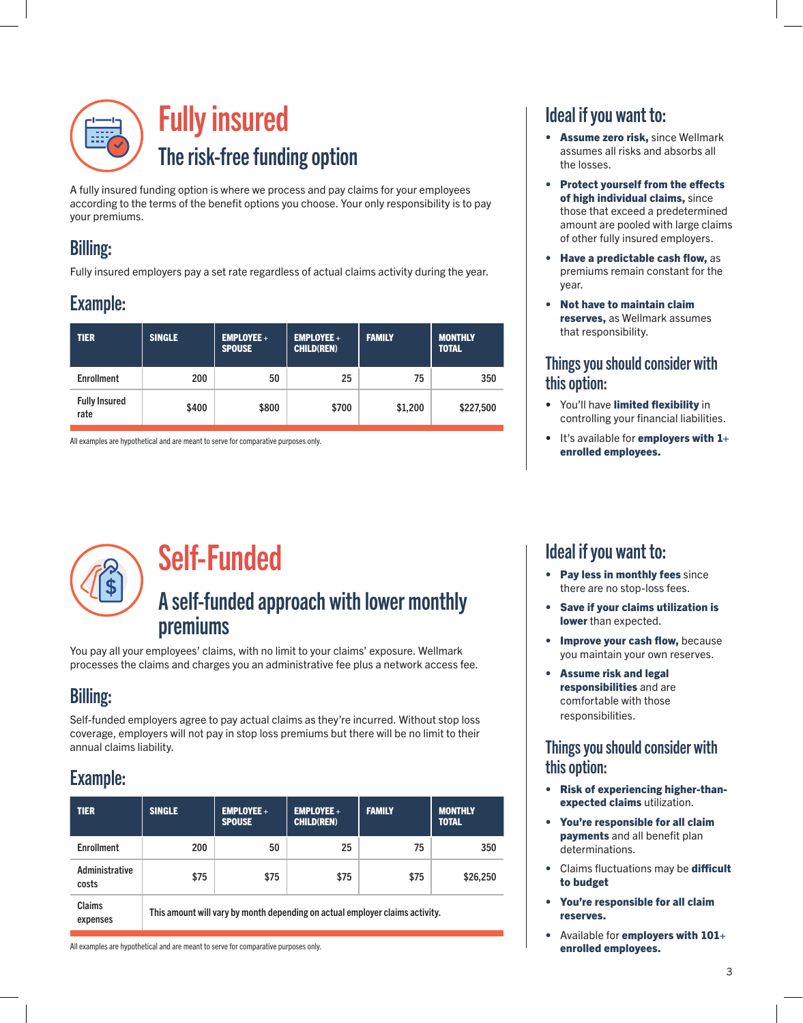

A fully insured funding option is where we process and pay claims for your employees according to the terms of the benefit options you choose. Your only responsibility is to pay your premiums.

## Billing:

Fully insured employers pay a set rate regardless of actual claims activity during the year.

#### Example:

| <b>TIER</b>                  | <b>SINGLE</b> | <b>EMPLOYEE +</b><br><b>SPOUSE</b> | <b>EMPLOYEE +</b><br><b>CHILD(REN)</b> | <b>FAMILY</b> | <b>MONTHLY</b><br><b>TOTAL</b> |  |
|------------------------------|---------------|------------------------------------|----------------------------------------|---------------|--------------------------------|--|
| <b>Enrollment</b>            | 200           | 50                                 | 25                                     | 75            | 350                            |  |
| <b>Fully Insured</b><br>rate | \$400         | \$800                              | \$700                                  | \$1,200       | \$227,500                      |  |

All examples are hypothetical and are meant to serve for comparative purposes only.



# Self-Funded

#### A self-funded approach with lower monthly premiums

You pay all your employees' claims, with no limit to your claims' exposure. Wellmark processes the claims and charges you an administrative fee plus a network access fee.

## Billing:

Self-funded employers agree to pay actual claims as they're incurred. Without stop loss coverage, employers will not pay in stop loss premiums but there will be no limit to their annual claims liability.

## Example:

| <b>TIER</b>             | <b>SINGLE</b>                                                                | <b>EMPLOYEE +</b><br><b>SPOUSE</b> | $EMPLOYEE +$<br><b>CHILD(REN)</b> | <b>FAMILY</b> | <b>MONTHLY</b><br><b>TOTAL</b> |  |  |
|-------------------------|------------------------------------------------------------------------------|------------------------------------|-----------------------------------|---------------|--------------------------------|--|--|
| <b>Enrollment</b>       | 200                                                                          | 50                                 | 25                                | 75            | 350                            |  |  |
| Administrative<br>costs | \$75                                                                         | \$75                               | \$75                              | \$75          | \$26,250                       |  |  |
| Claims<br>expenses      | This amount will vary by month depending on actual employer claims activity. |                                    |                                   |               |                                |  |  |

All examples are hypothetical and are meant to serve for comparative purposes only.

#### Ideal if you want to:

- Assume zero risk, since Wellmark assumes all risks and absorbs all the losses.
- Protect yourself from the effects of high individual claims, since those that exceed a predetermined amount are pooled with large claims of other fully insured employers.
- Have a predictable cash flow, as premiums remain constant for the year.
- Not have to maintain claim reserves, as Wellmark assumes that responsibility.

#### Things you should consider with this option:

- You'll have limited flexibility in controlling your financial liabilities.
- $\bullet$  It's available for employers with  $1+$ enrolled employees.

#### Ideal if you want to:

- Pay less in monthly fees since there are no stop-loss fees.
- Save if your claims utilization is lower than expected.
- Improve your cash flow, because you maintain your own reserves.
- Assume risk and legal responsibilities and are comfortable with those responsibilities.

#### Things you should consider with this option:

- Risk of experiencing higher-thanexpected claims utilization.
- You're responsible for all claim **payments** and all benefit plan determinations.
- Claims fluctuations may be difficult to budget
- You're responsible for all claim reserves.
- Available for employers with 101+ enrolled employees.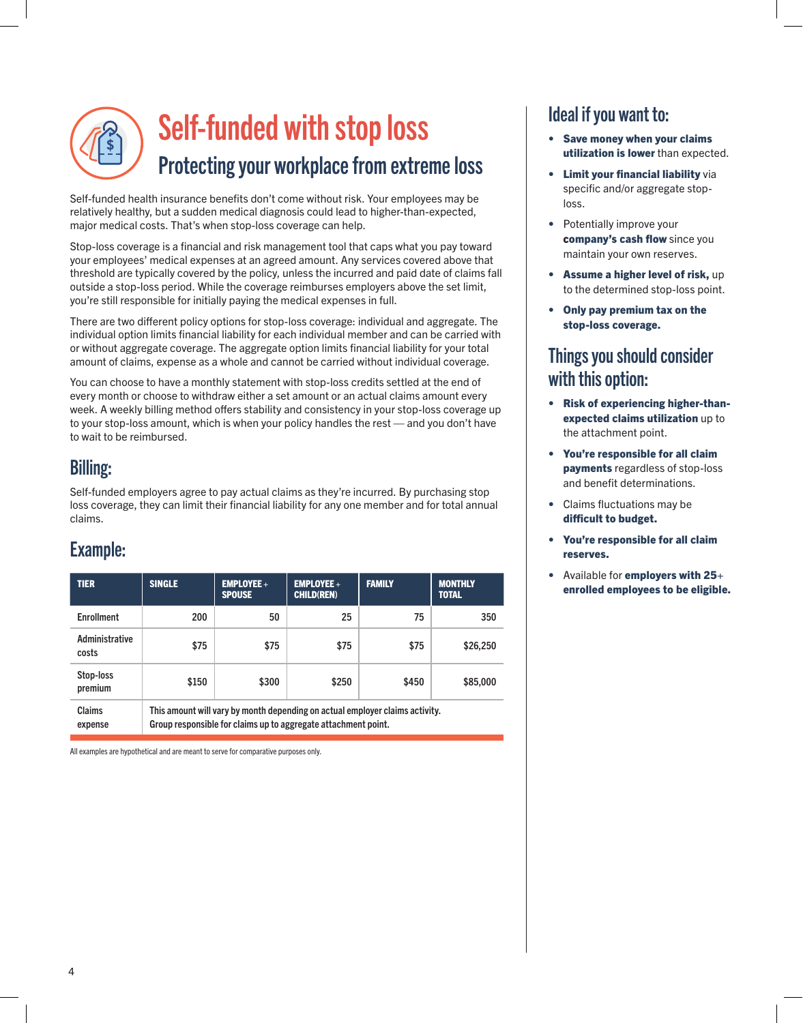# Self-funded with stop loss Protecting your workplace from extreme loss

Self-funded health insurance benefits don't come without risk. Your employees may be relatively healthy, but a sudden medical diagnosis could lead to higher-than-expected, major medical costs. That's when stop-loss coverage can help.

Stop-loss coverage is a financial and risk management tool that caps what you pay toward your employees' medical expenses at an agreed amount. Any services covered above that threshold are typically covered by the policy, unless the incurred and paid date of claims fall outside a stop-loss period. While the coverage reimburses employers above the set limit, you're still responsible for initially paying the medical expenses in full.

There are two different policy options for stop-loss coverage: individual and aggregate. The individual option limits financial liability for each individual member and can be carried with or without aggregate coverage. The aggregate option limits financial liability for your total amount of claims, expense as a whole and cannot be carried without individual coverage.

You can choose to have a monthly statement with stop-loss credits settled at the end of every month or choose to withdraw either a set amount or an actual claims amount every week. A weekly billing method offers stability and consistency in your stop-loss coverage up to your stop-loss amount, which is when your policy handles the rest — and you don't have to wait to be reimbursed.

#### Billing:

Self-funded employers agree to pay actual claims as they're incurred. By purchasing stop loss coverage, they can limit their financial liability for any one member and for total annual claims.

#### Example:

| <b>TIER</b>             | <b>SINGLE</b>                                                                                                                                  | <b>EMPLOYEE +</b><br><b>SPOUSE</b> | $EMPLOYEE +$<br><b>CHILD(REN)</b> | <b>FAMILY</b> | <b>MONTHLY</b><br><b>TOTAL</b> |  |  |
|-------------------------|------------------------------------------------------------------------------------------------------------------------------------------------|------------------------------------|-----------------------------------|---------------|--------------------------------|--|--|
| <b>Enrollment</b>       | 200                                                                                                                                            | 50                                 | 25                                | 75            | 350                            |  |  |
| Administrative<br>costs | \$75                                                                                                                                           | \$75                               | \$75                              | \$75          | \$26,250                       |  |  |
| Stop-loss<br>premium    | \$150                                                                                                                                          | \$300                              | \$250                             | \$450         | \$85,000                       |  |  |
| Claims<br>expense       | This amount will vary by month depending on actual employer claims activity.<br>Group responsible for claims up to aggregate attachment point. |                                    |                                   |               |                                |  |  |

All examples are hypothetical and are meant to serve for comparative purposes only.

#### Ideal if you want to:

- Save money when your claims utilization is lower than expected.
- Limit your financial liability via specific and/or aggregate stoploss.
- Potentially improve your company's cash flow since you maintain your own reserves.
- Assume a higher level of risk, up to the determined stop-loss point.
- Only pay premium tax on the stop-loss coverage.

#### Things you should consider with this option:

- Risk of experiencing higher-thanexpected claims utilization up to the attachment point.
- You're responsible for all claim payments regardless of stop-loss and benefit determinations.
- Claims fluctuations may be difficult to budget.
- You're responsible for all claim reserves.
- Available for employers with 25+ enrolled employees to be eligible.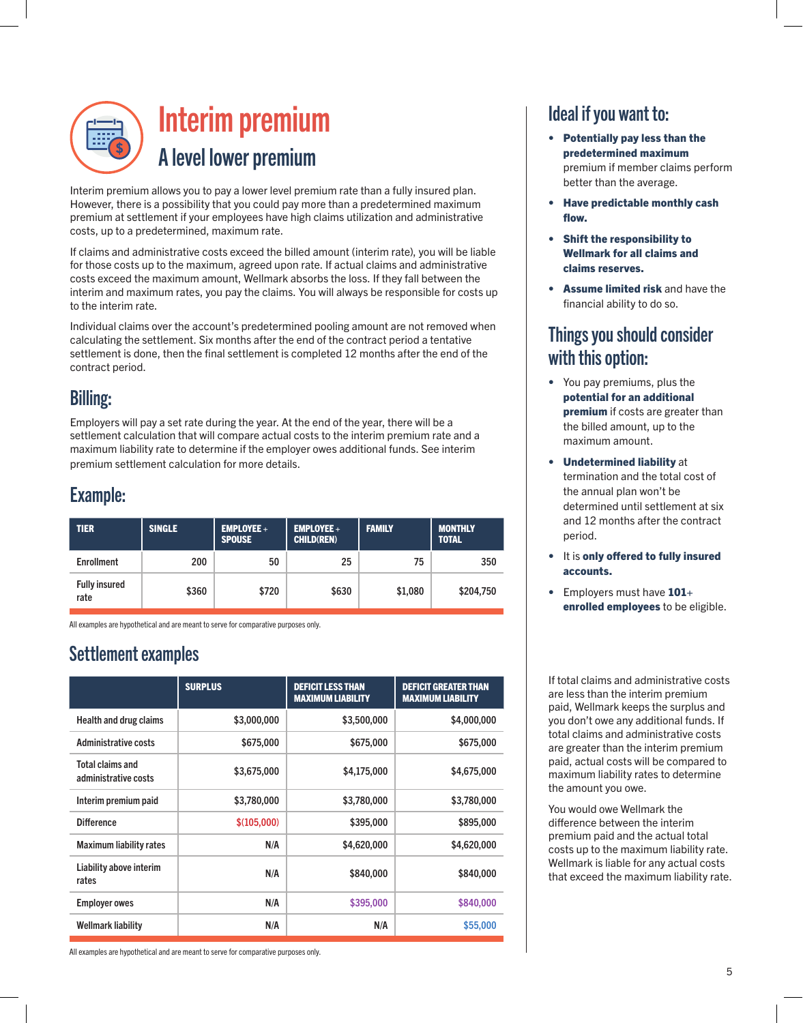

# Interim premium A level lower premium

Interim premium allows you to pay a lower level premium rate than a fully insured plan. However, there is a possibility that you could pay more than a predetermined maximum premium at settlement if your employees have high claims utilization and administrative costs, up to a predetermined, maximum rate.

If claims and administrative costs exceed the billed amount (interim rate), you will be liable for those costs up to the maximum, agreed upon rate. If actual claims and administrative costs exceed the maximum amount, Wellmark absorbs the loss. If they fall between the interim and maximum rates, you pay the claims. You will always be responsible for costs up to the interim rate.

Individual claims over the account's predetermined pooling amount are not removed when calculating the settlement. Six months after the end of the contract period a tentative settlement is done, then the final settlement is completed 12 months after the end of the contract period.

#### Billing:

Employers will pay a set rate during the year. At the end of the year, there will be a settlement calculation that will compare actual costs to the interim premium rate and a maximum liability rate to determine if the employer owes additional funds. See interim premium settlement calculation for more details.

#### Example:

| <b>TIER</b>                  | <b>SINGLE</b> | $EMPLOYEE +$<br><b>SPOUSE</b> | $EMPLOYEE +$<br><b>CHILD(REN)</b> | <b>FAMILY</b> | <b>MONTHLY</b><br><b>TOTAL</b> |  |
|------------------------------|---------------|-------------------------------|-----------------------------------|---------------|--------------------------------|--|
| <b>Enrollment</b>            | 200           | 50                            | 25                                | 75            | 350                            |  |
| <b>Fully insured</b><br>rate | \$360         | \$720                         | \$630                             | \$1,080       | \$204,750                      |  |

All examples are hypothetical and are meant to serve for comparative purposes only.

#### Settlement examples

|                                          | <b>SURPLUS</b> | <b>DEFICIT LESS THAN</b><br><b>MAXIMUM LIABILITY</b> | <b>DEFICIT GREATER THAN</b><br><b>MAXIMUM LIABILITY</b> |
|------------------------------------------|----------------|------------------------------------------------------|---------------------------------------------------------|
| <b>Health and drug claims</b>            | \$3,000,000    | \$3,500,000                                          | \$4,000,000                                             |
| Administrative costs                     | \$675,000      | \$675,000                                            | \$675,000                                               |
| Total claims and<br>administrative costs | \$3,675,000    | \$4,175,000                                          | \$4,675,000                                             |
| Interim premium paid                     | \$3,780,000    | \$3,780,000                                          | \$3,780,000                                             |
| <b>Difference</b>                        | \$(105,000)    | \$395,000                                            | \$895,000                                               |
| <b>Maximum liability rates</b>           | N/A            | \$4,620,000                                          | \$4,620,000                                             |
| Liability above interim<br>rates         | N/A            | \$840,000                                            | \$840,000                                               |
| <b>Employer owes</b>                     | N/A            | \$395,000                                            | \$840,000                                               |
| <b>Wellmark liability</b>                | N/A            | N/A                                                  | \$55,000                                                |

Ideal if you want to:

- Potentially pay less than the predetermined maximum premium if member claims perform better than the average.
- Have predictable monthly cash flow.
- Shift the responsibility to Wellmark for all claims and claims reserves.
- Assume limited risk and have the financial ability to do so.

#### Things you should consider with this option:

- You pay premiums, plus the potential for an additional premium if costs are greater than the billed amount, up to the maximum amount.
- Undetermined liability at termination and the total cost of the annual plan won't be determined until settlement at six and 12 months after the contract period.
- It is only offered to fully insured accounts.
- Employers must have 101+ enrolled employees to be eligible.

If total claims and administrative costs are less than the interim premium paid, Wellmark keeps the surplus and you don't owe any additional funds. If total claims and administrative costs are greater than the interim premium paid, actual costs will be compared to maximum liability rates to determine the amount you owe.

You would owe Wellmark the difference between the interim premium paid and the actual total costs up to the maximum liability rate. Wellmark is liable for any actual costs that exceed the maximum liability rate.

All examples are hypothetical and are meant to serve for comparative purposes only.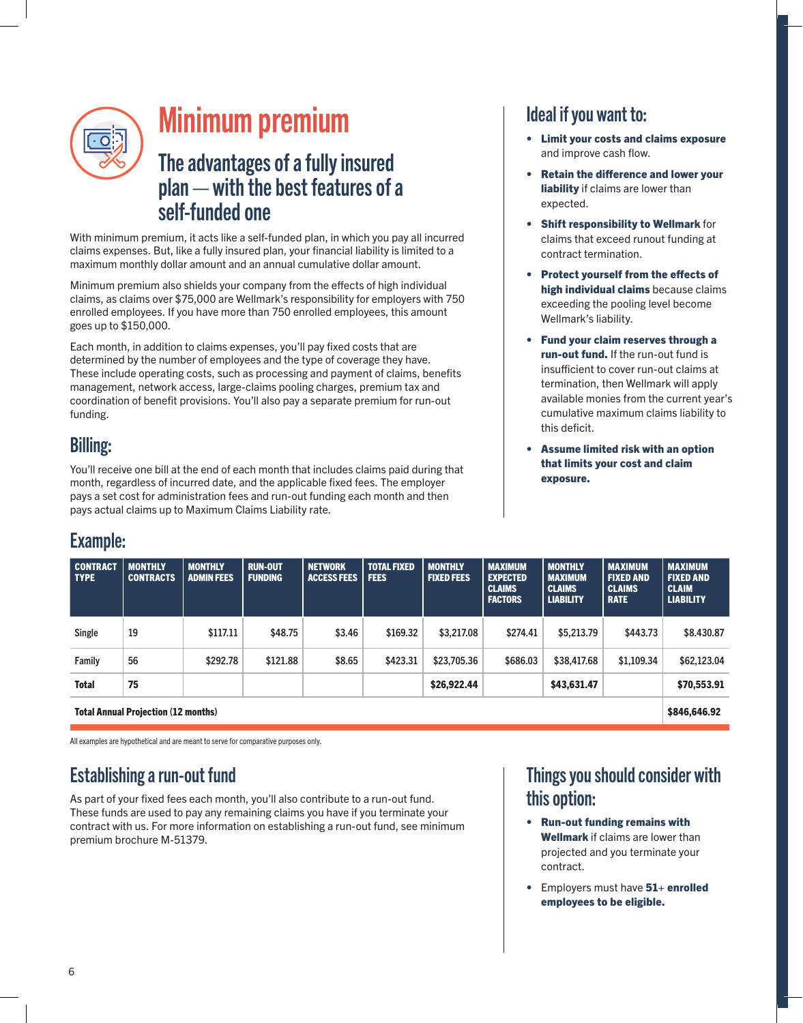

# Minimum premium

#### The advantages of a fully insured plan — with the best features of a self-funded one

With minimum premium, it acts like a self-funded plan, in which you pay all incurred claims expenses. But, like a fully insured plan, your financial liability is limited to a maximum monthly dollar amount and an annual cumulative dollar amount.

Minimum premium also shields your company from the effects of high individual claims, as claims over \$75,000 are Wellmark's responsibility for employers with 750 enrolled employees. If you have more than 750 enrolled employees, this amount goes up to \$150,000.

Each month, in addition to claims expenses, you'll pay fixed costs that are determined by the number of employees and the type of coverage they have. These include operating costs, such as processing and payment of claims, benefits management, network access, large-claims pooling charges, premium tax and coordination of benefit provisions. You'll also pay a separate premium for run-out funding.

#### Billing:

You'll receive one bill at the end of each month that includes claims paid during that month, regardless of incurred date, and the applicable fixed fees. The employer pays a set cost for administration fees and run-out funding each month and then pays actual claims up to Maximum Claims Liability rate.

#### Ideal if you want to:

- Limit your costs and claims exposure and improve cash flow.
- Retain the difference and lower your liability if claims are lower than expected.
- **Shift responsibility to Wellmark for** claims that exceed runout funding at contract termination.
- Protect yourself from the effects of high individual claims because claims exceeding the pooling level become Wellmark's liability.
- Fund your claim reserves through a run-out fund. If the run-out fund is insufficient to cover run-out claims at termination, then Wellmark will apply available monies from the current year's cumulative maximum claims liability to this deficit.
- Assume limited risk with an option that limits your cost and claim exposure.

#### Example:

| <b>CONTRACT</b><br><b>TYPE</b>             | <b>MONTHLY</b><br><b>CONTRACTS</b> | <b>MONTHLY</b><br><b>ADMIN FEES</b> | <b>RUN-OUT</b><br><b>FUNDING</b> | <b>NETWORK</b><br><b>ACCESS FEES</b> | <b>TOTAL FIXED</b><br><b>FEES</b> | <b>MONTHLY</b><br><b>FIXED FEES</b> | <b>MAXIMUM</b><br><b>EXPECTED</b><br><b>CLAIMS</b><br><b>FACTORS</b> | <b>MONTHLY</b><br><b>MAXIMUM</b><br><b>CLAIMS</b><br><b>LIABILITY</b> | <b>MAXIMUM</b><br><b>FIXED AND</b><br><b>CLAIMS</b><br><b>RATE</b> | <b>MAXIMUM</b><br><b>FIXED AND</b><br><b>CLAIM</b><br><b>LIABILITY</b> |
|--------------------------------------------|------------------------------------|-------------------------------------|----------------------------------|--------------------------------------|-----------------------------------|-------------------------------------|----------------------------------------------------------------------|-----------------------------------------------------------------------|--------------------------------------------------------------------|------------------------------------------------------------------------|
| Single                                     | 19                                 | \$117.11                            | \$48.75                          | \$3.46                               | \$169.32                          | \$3,217.08                          | \$274.41                                                             | \$5,213.79                                                            | \$443.73                                                           | \$8.430.87                                                             |
| Family                                     | 56                                 | \$292.78                            | \$121.88                         | \$8.65                               | \$423.31                          | \$23,705,36                         | \$686.03                                                             | \$38,417.68                                                           | \$1.109.34                                                         | \$62,123.04                                                            |
| <b>Total</b>                               | 75                                 |                                     |                                  |                                      |                                   | \$26,922.44                         |                                                                      | \$43,631.47                                                           |                                                                    | \$70,553.91                                                            |
| <b>Total Annual Projection (12 months)</b> |                                    |                                     |                                  |                                      |                                   |                                     |                                                                      |                                                                       | \$846,646.92                                                       |                                                                        |

All examples are hypothetical and are meant to serve for comparative purposes only.

#### Establishing a run-out fund

As part of your fixed fees each month, you'll also contribute to a run-out fund. These funds are used to pay any remaining claims you have if you terminate your contract with us. For more information on establishing a run-out fund, see minimum premium brochure M-51379.

#### Things you should consider with this option:

- Run-out funding remains with Wellmark if claims are lower than projected and you terminate your contract.
- Employers must have 51+ enrolled employees to be eligible.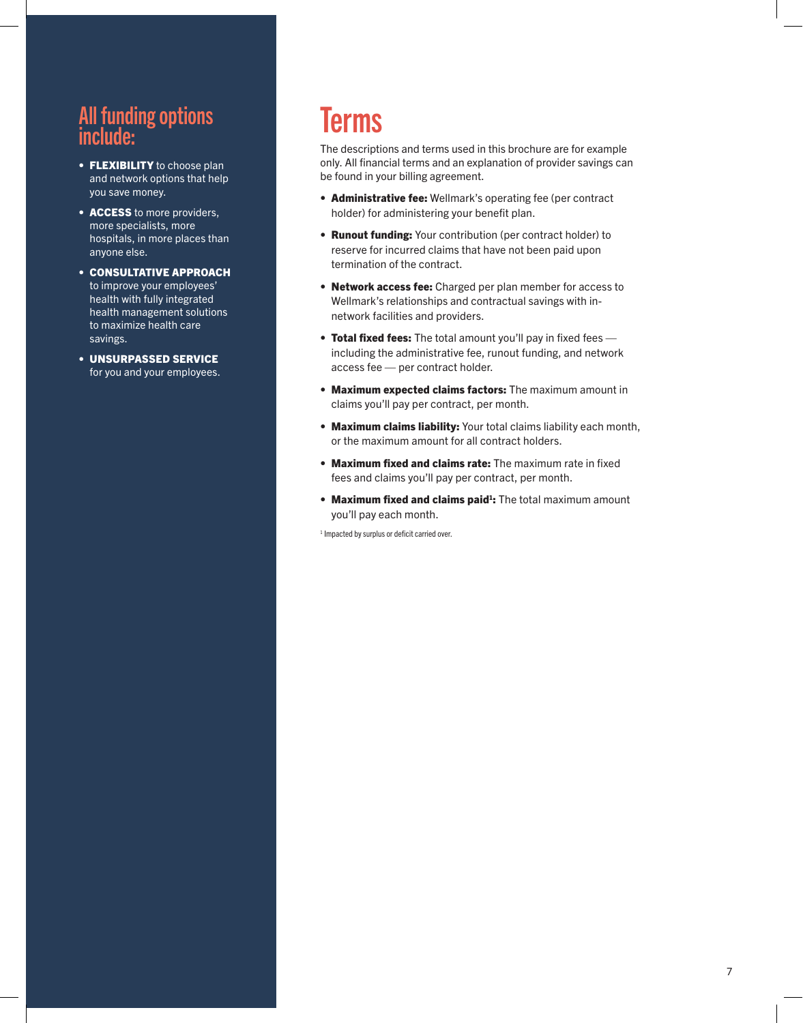#### All funding options include:

- FLEXIBILITY to choose plan and network options that help you save money.
- ACCESS to more providers. more specialists, more hospitals, in more places than anyone else.
- CONSULTATIVE APPROACH to improve your employees' health with fully integrated health management solutions to maximize health care savings.
- UNSURPASSED SERVICE for you and your employees.

# Terms

The descriptions and terms used in this brochure are for example only. All financial terms and an explanation of provider savings can be found in your billing agreement.

- Administrative fee: Wellmark's operating fee (per contract holder) for administering your benefit plan.
- Runout funding: Your contribution (per contract holder) to reserve for incurred claims that have not been paid upon termination of the contract.
- Network access fee: Charged per plan member for access to Wellmark's relationships and contractual savings with innetwork facilities and providers.
- Total fixed fees: The total amount you'll pay in fixed fees including the administrative fee, runout funding, and network access fee — per contract holder.
- Maximum expected claims factors: The maximum amount in claims you'll pay per contract, per month.
- Maximum claims liability: Your total claims liability each month, or the maximum amount for all contract holders.
- Maximum fixed and claims rate: The maximum rate in fixed fees and claims you'll pay per contract, per month.
- Maximum fixed and claims paid<sup>1</sup>: The total maximum amount you'll pay each month.

<span id="page-6-0"></span>1 Impacted by surplus or deficit carried over.